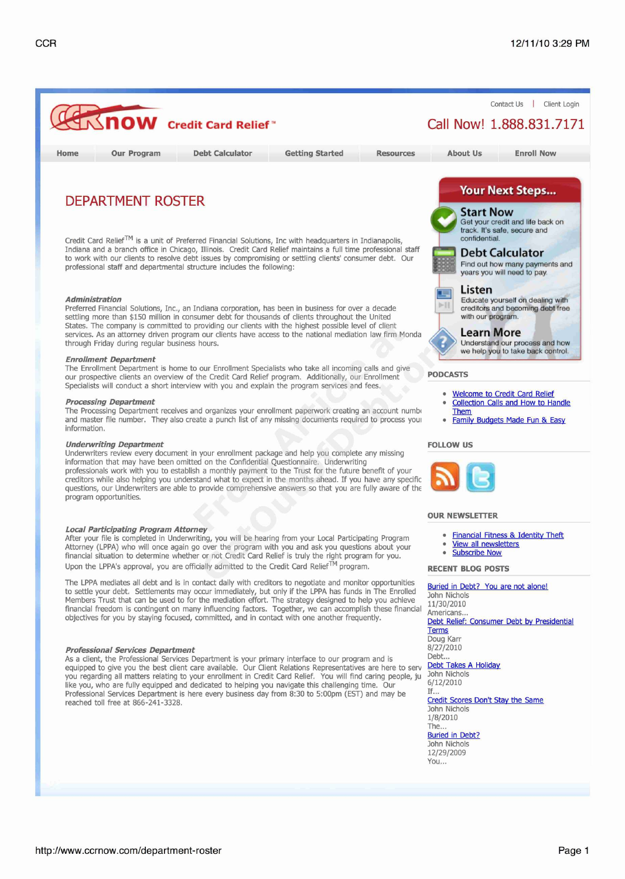

**Professional Services Department**<br>As a client, the Professional Services Department is your primary interface to our program and is **SALL** Debt... As a client, the Professional Services Department is your primary interface to our program and is Debt...<br>Pourinned to give you the best client care available. Our Client Relations Representatives are here to serve Debt Ta equipped to give you the best client care available. Our Client Relations Representatives are here to serve Debt Takes A Holiday of the States A Holiday Care in the States A Holiday Care in the United States A Holiday A Ho you regarding all matters relating to your enrollment in Credit Card Relief. You will find caring people, ju John Nichols<br>like you who are fully equipped and dedicated to belping you payigate this challenging time. Our 6/1 like you, who are fully equipped and dedicated to helping you navigate this challenging time. Our  $6/12$ <br>Professional Services Department is here every business day from 8:30 to 5:00pm (EST) and may be Professional Services Department is here every business day from 8:30 to 5:00pm (EST) and may be If...<br>Credit Scores Don't Stay the Same reached toll free at 866-241-3328.

Doug Karr John Nichols 1/8/2010 The... Buried in Debt? John Nichols 12/29/2009 You...

http://www.ccrnow.com/department-roster **Page 1**